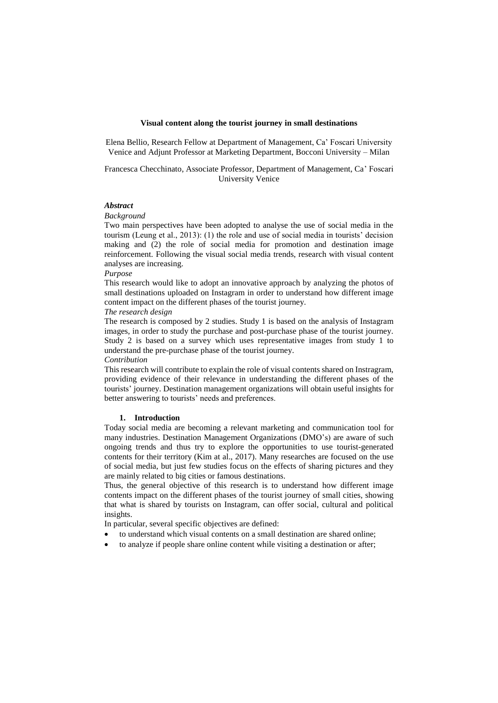#### **Visual content along the tourist journey in small destinations**

Elena Bellio, Research Fellow at Department of Management, Ca' Foscari University Venice and Adjunt Professor at Marketing Department, Bocconi University – Milan

# Francesca Checchinato, Associate Professor, Department of Management, Ca' Foscari University Venice

# *Abstract*

#### *Background*

Two main perspectives have been adopted to analyse the use of social media in the tourism (Leung et al., 2013): (1) the role and use of social media in tourists' decision making and (2) the role of social media for promotion and destination image reinforcement. Following the visual social media trends, research with visual content analyses are increasing.

#### *Purpose*

This research would like to adopt an innovative approach by analyzing the photos of small destinations uploaded on Instagram in order to understand how different image content impact on the different phases of the tourist journey.

#### *The research design*

The research is composed by 2 studies. Study 1 is based on the analysis of Instagram images, in order to study the purchase and post-purchase phase of the tourist journey. Study 2 is based on a survey which uses representative images from study 1 to understand the pre-purchase phase of the tourist journey.

# *Contribution*

This research will contribute to explain the role of visual contents shared on Instragram, providing evidence of their relevance in understanding the different phases of the tourists' journey. Destination management organizations will obtain useful insights for better answering to tourists' needs and preferences.

# **1. Introduction**

Today social media are becoming a relevant marketing and communication tool for many industries. Destination Management Organizations (DMO's) are aware of such ongoing trends and thus try to explore the opportunities to use tourist-generated contents for their territory (Kim at al., 2017). Many researches are focused on the use of social media, but just few studies focus on the effects of sharing pictures and they are mainly related to big cities or famous destinations.

Thus, the general objective of this research is to understand how different image contents impact on the different phases of the tourist journey of small cities, showing that what is shared by tourists on Instagram, can offer social, cultural and political insights.

In particular, several specific objectives are defined:

- to understand which visual contents on a small destination are shared online;
- to analyze if people share online content while visiting a destination or after;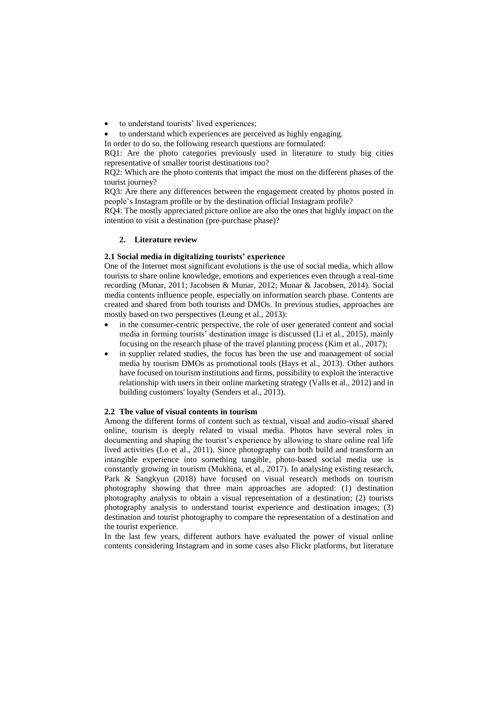- to understand tourists' lived experiences;
- to understand which experiences are perceived as highly engaging.

In order to do so, the following research questions are formulated:

RQ1: Are the photo categories previously used in literature to study big cities representative of smaller tourist destinations too?

RQ2: Which are the photo contents that impact the most on the different phases of the tourist journey?

RQ3: Are there any differences between the engagement created by photos posted in people's Instagram profile or by the destination official Instagram profile?

RQ4: The mostly appreciated picture online are also the ones that highly impact on the intention to visit a destination (pre-purchase phase)?

## **2. Literature review**

#### **2.1 Social media in digitalizing tourists' experience**

One of the Internet most significant evolutions is the use of social media, which allow tourists to share online knowledge, emotions and experiences even through a real-time recording (Munar, 2011; Jacobsen & Munar, 2012; Munar & Jacobsen, 2014). Social media contents influence people, especially on information search phase. Contents are created and shared from both tourists and DMOs. In previous studies, approaches are mostly based on two perspectives (Leung et al., 2013):

- in the consumer-centric perspective, the role of user generated content and social media in forming tourists' destination image is discussed (Li et al., 2015), mainly focusing on the research phase of the travel planning process (Kim et al., 2017);
- in supplier related studies, the focus has been the use and management of social media by tourism DMOs as promotional tools (Hays et al., 2013). Other authors have focused on tourism institutions and firms, possibility to exploit the interactive relationship with users in their online marketing strategy (Valls et al., 2012) and in building customers' loyalty (Senders et al., 2013).

#### **2.2 The value of visual contents in tourism**

Among the different forms of content such as textual, visual and audio-visual shared online, tourism is deeply related to visual media. Photos have several roles in documenting and shaping the tourist's experience by allowing to share online real life lived activities (Lo et al., 2011). Since photography can both build and transform an intangible experience into something tangible, photo-based social media use is constantly growing in tourism (Mukhina, et al., 2017). In analysing existing research, Park & Sangkyun (2018) have focused on visual research methods on tourism photography showing that three main approaches are adopted: (1) destination photography analysis to obtain a visual representation of a destination; (2) tourists photography analysis to understand tourist experience and destination images; (3) destination and tourist photography to compare the representation of a destination and the tourist experience.

In the last few years, different authors have evaluated the power of visual online contents considering Instagram and in some cases also Flickr platforms, but literature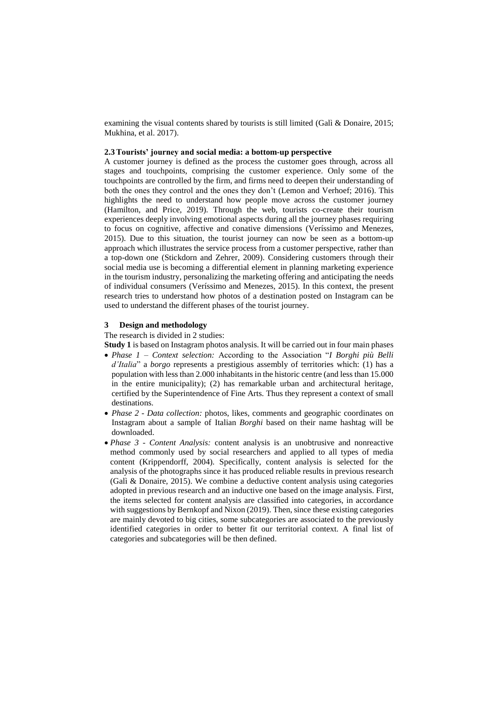examining the visual contents shared by tourists is still limited (Galì & Donaire, 2015; Mukhina, et al. 2017).

# **2.3Tourists' journey and social media: a bottom-up perspective**

A customer journey is defined as the process the customer goes through, across all stages and touchpoints, comprising the customer experience. Only some of the touchpoints are controlled by the firm, and firms need to deepen their understanding of both the ones they control and the ones they don't (Lemon and Verhoef; 2016). This highlights the need to understand how people move across the customer journey (Hamilton, and Price, 2019). Through the web, tourists co-create their tourism experiences deeply involving emotional aspects during all the journey phases requiring to focus on cognitive, affective and conative dimensions (Veríssimo and Menezes, 2015). Due to this situation, the tourist journey can now be seen as a bottom-up approach which illustrates the service process from a customer perspective, rather than a top-down one (Stickdorn and Zehrer, 2009). Considering customers through their social media use is becoming a differential element in planning marketing experience in the tourism industry, personalizing the marketing offering and anticipating the needs of individual consumers (Veríssimo and Menezes, 2015). In this context, the present research tries to understand how photos of a destination posted on Instagram can be used to understand the different phases of the tourist journey.

#### **3 Design and methodology**

The research is divided in 2 studies:

**Study 1** is based on Instagram photos analysis. It will be carried out in four main phases

- *Phase 1 – Context selection:* According to the Association "*I Borghi più Belli d'Italia*" a *borgo* represents a prestigious assembly of territories which: (1) has a population with less than 2.000 inhabitants in the historic centre (and less than 15.000 in the entire municipality); (2) has remarkable urban and architectural heritage, certified by the Superintendence of Fine Arts. Thus they represent a context of small destinations.
- *Phase 2 - Data collection:* photos, likes, comments and geographic coordinates on Instagram about a sample of Italian *Borghi* based on their name hashtag will be downloaded.
- *Phase 3 - Content Analysis:* content analysis is an unobtrusive and nonreactive method commonly used by social researchers and applied to all types of media content (Krippendorff, 2004). Specifically, content analysis is selected for the analysis of the photographs since it has produced reliable results in previous research (Galì & Donaire, 2015). We combine a deductive content analysis using categories adopted in previous research and an inductive one based on the image analysis. First, the items selected for content analysis are classified into categories, in accordance with suggestions by Bernkopf and Nixon (2019). Then, since these existing categories are mainly devoted to big cities, some subcategories are associated to the previously identified categories in order to better fit our territorial context. A final list of categories and subcategories will be then defined.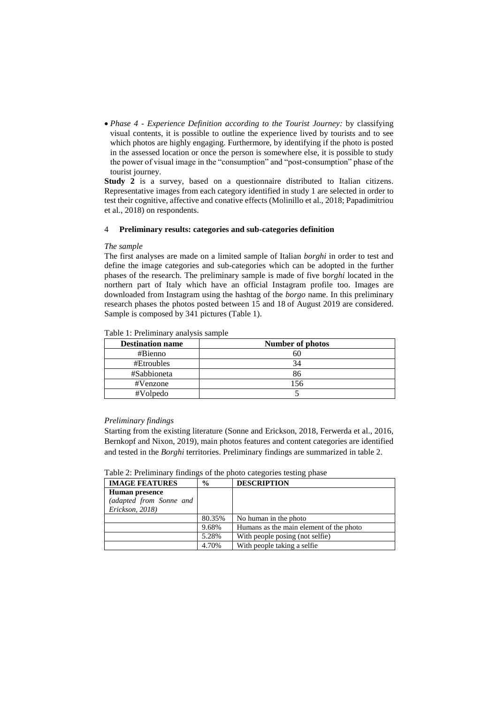*Phase 4 - Experience Definition according to the Tourist Journey:* by classifying visual contents, it is possible to outline the experience lived by tourists and to see which photos are highly engaging. Furthermore, by identifying if the photo is posted in the assessed location or once the person is somewhere else, it is possible to study the power of visual image in the "consumption" and "post-consumption" phase of the tourist journey.

**Study 2** is a survey, based on a questionnaire distributed to Italian citizens. Representative images from each category identified in study 1 are selected in order to test their cognitive, affective and conative effects (Molinillo et al., 2018; Papadimitriou et al., 2018) on respondents.

## 4 **Preliminary results: categories and sub-categories definition**

## *The sample*

The first analyses are made on a limited sample of Italian *borghi* in order to test and define the image categories and sub-categories which can be adopted in the further phases of the research. The preliminary sample is made of five b*orghi* located in the northern part of Italy which have an official Instagram profile too. Images are downloaded from Instagram using the hashtag of the *borgo* name. In this preliminary research phases the photos posted between 15 and 18 of August 2019 are considered. Sample is composed by 341 pictures (Table 1).

| <b>Destination name</b> | Number of photos |
|-------------------------|------------------|
| #Bienno                 |                  |
| #Etroubles              |                  |
| #Sabbioneta             |                  |
| #Venzone                | 156              |
| #Volpedo                |                  |

Table 1: Preliminary analysis sample

## *Preliminary findings*

Starting from the existing literature (Sonne and Erickson, 2018, Ferwerda et al., 2016, Bernkopf and Nixon, 2019), main photos features and content categories are identified and tested in the *Borghi* territories. Preliminary findings are summarized in table 2.

| Table 2: Preliminary findings of the photo categories testing phase |  |  |
|---------------------------------------------------------------------|--|--|
|                                                                     |  |  |

| <b>IMAGE FEATURES</b>   | $\frac{0}{0}$ | <b>DESCRIPTION</b>                      |
|-------------------------|---------------|-----------------------------------------|
| <b>Human presence</b>   |               |                                         |
| (adapted from Sonne and |               |                                         |
| Erickson, 2018)         |               |                                         |
|                         | 80.35%        | No human in the photo                   |
|                         | 9.68%         | Humans as the main element of the photo |
|                         | 5.28%         | With people posing (not selfie)         |
|                         | 4.70%         | With people taking a selfie.            |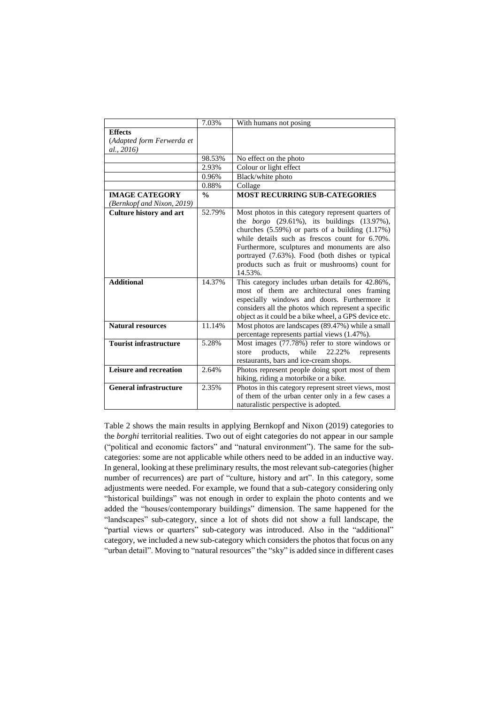|                                                           | 7.03%         | With humans not posing                                                                                                                                                                                                                                                                                                                                                                        |
|-----------------------------------------------------------|---------------|-----------------------------------------------------------------------------------------------------------------------------------------------------------------------------------------------------------------------------------------------------------------------------------------------------------------------------------------------------------------------------------------------|
| <b>Effects</b><br>(Adapted form Ferwerda et<br>al., 2016) |               |                                                                                                                                                                                                                                                                                                                                                                                               |
|                                                           | 98.53%        | No effect on the photo                                                                                                                                                                                                                                                                                                                                                                        |
|                                                           | 2.93%         | Colour or light effect                                                                                                                                                                                                                                                                                                                                                                        |
|                                                           | 0.96%         | Black/white photo                                                                                                                                                                                                                                                                                                                                                                             |
|                                                           | 0.88%         | Collage                                                                                                                                                                                                                                                                                                                                                                                       |
| <b>IMAGE CATEGORY</b><br>(Bernkopf and Nixon, 2019)       | $\frac{0}{0}$ | <b>MOST RECURRING SUB-CATEGORIES</b>                                                                                                                                                                                                                                                                                                                                                          |
| <b>Culture history and art</b>                            | 52.79%        | Most photos in this category represent quarters of<br>the <i>borgo</i> $(29.61\%)$ , its buildings $(13.97\%)$ ,<br>churches $(5.59\%)$ or parts of a building $(1.17\%)$<br>while details such as frescos count for 6.70%.<br>Furthermore, sculptures and monuments are also<br>portrayed (7.63%). Food (both dishes or typical<br>products such as fruit or mushrooms) count for<br>14.53%. |
| <b>Additional</b>                                         | 14.37%        | This category includes urban details for 42.86%,<br>most of them are architectural ones framing<br>especially windows and doors. Furthermore it<br>considers all the photos which represent a specific<br>object as it could be a bike wheel, a GPS device etc.                                                                                                                               |
| <b>Natural resources</b>                                  | 11.14%        | Most photos are landscapes (89.47%) while a small<br>percentage represents partial views (1.47%).                                                                                                                                                                                                                                                                                             |
| <b>Tourist infrastructure</b>                             | 5.28%         | Most images (77.78%) refer to store windows or<br>while<br>products.<br>22.22%<br>represents<br>store<br>restaurants, bars and ice-cream shops.                                                                                                                                                                                                                                               |
| Leisure and recreation                                    | 2.64%         | Photos represent people doing sport most of them<br>hiking, riding a motorbike or a bike.                                                                                                                                                                                                                                                                                                     |
| <b>General infrastructure</b>                             | 2.35%         | Photos in this category represent street views, most<br>of them of the urban center only in a few cases a<br>naturalistic perspective is adopted.                                                                                                                                                                                                                                             |

Table 2 shows the main results in applying Bernkopf and Nixon (2019) categories to the *borghi* territorial realities. Two out of eight categories do not appear in our sample ("political and economic factors" and "natural environment"). The same for the subcategories: some are not applicable while others need to be added in an inductive way. In general, looking at these preliminary results, the most relevant sub-categories (higher number of recurrences) are part of "culture, history and art". In this category, some adjustments were needed. For example, we found that a sub-category considering only "historical buildings" was not enough in order to explain the photo contents and we added the "houses/contemporary buildings" dimension. The same happened for the "landscapes" sub-category, since a lot of shots did not show a full landscape, the "partial views or quarters" sub-category was introduced. Also in the "additional" category, we included a new sub-category which considers the photos that focus on any "urban detail". Moving to "natural resources" the "sky" is added since in different cases